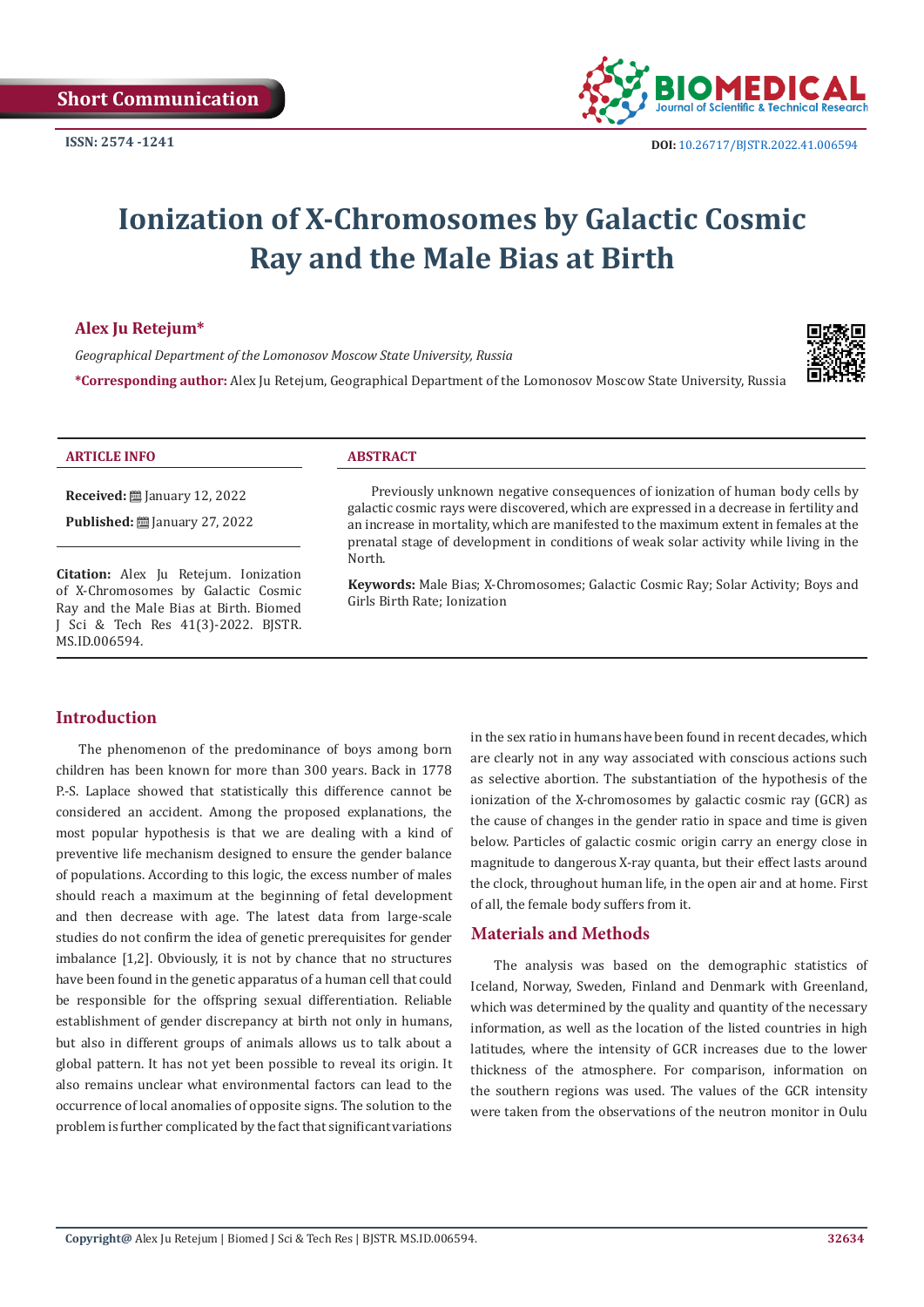

# **Ionization of X-Chromosomes by Galactic Cosmic Ray and the Male Bias at Birth**

## **Alex Ju Retejum\***

*Geographical Department of the Lomonosov Moscow State University, Russia*



**\*Corresponding author:** Alex Ju Retejum, Geographical Department of the Lomonosov Moscow State University, Russia

#### **ARTICLE INFO ABSTRACT**

**Received:** ■ January 12, 2022

**Published: 27** January 27, 2022

**Citation:** Alex Ju Retejum. Ionization of X-Chromosomes by Galactic Cosmic Ray and the Male Bias at Birth. Biomed J Sci & Tech Res 41(3)-2022. BJSTR. MS.ID.006594.

Previously unknown negative consequences of ionization of human body cells by galactic cosmic rays were discovered, which are expressed in a decrease in fertility and an increase in mortality, which are manifested to the maximum extent in females at the prenatal stage of development in conditions of weak solar activity while living in the North.

**Keywords:** Male Bias; X-Chromosomes; Galactic Cosmic Ray; Solar Activity; Boys and Girls Birth Rate; Ionization

# **Introduction**

The phenomenon of the predominance of boys among born children has been known for more than 300 years. Back in 1778 P.-S. Laplace showed that statistically this difference cannot be considered an accident. Among the proposed explanations, the most popular hypothesis is that we are dealing with a kind of preventive life mechanism designed to ensure the gender balance of populations. According to this logic, the excess number of males should reach a maximum at the beginning of fetal development and then decrease with age. The latest data from large-scale studies do not confirm the idea of genetic prerequisites for gender imbalance [1,2]. Obviously, it is not by chance that no structures have been found in the genetic apparatus of a human cell that could be responsible for the offspring sexual differentiation. Reliable establishment of gender discrepancy at birth not only in humans, but also in different groups of animals allows us to talk about a global pattern. It has not yet been possible to reveal its origin. It also remains unclear what environmental factors can lead to the occurrence of local anomalies of opposite signs. The solution to the problem is further complicated by the fact that significant variations

in the sex ratio in humans have been found in recent decades, which are clearly not in any way associated with conscious actions such as selective abortion. The substantiation of the hypothesis of the ionization of the X-chromosomes by galactic cosmic ray (GCR) as the cause of changes in the gender ratio in space and time is given below. Particles of galactic cosmic origin carry an energy close in magnitude to dangerous X-ray quanta, but their effect lasts around the clock, throughout human life, in the open air and at home. First of all, the female body suffers from it.

# **Materials and Methods**

The analysis was based on the demographic statistics of Iceland, Norway, Sweden, Finland and Denmark with Greenland, which was determined by the quality and quantity of the necessary information, as well as the location of the listed countries in high latitudes, where the intensity of GCR increases due to the lower thickness of the atmosphere. For comparison, information on the southern regions was used. The values of the GCR intensity were taken from the observations of the neutron monitor in Oulu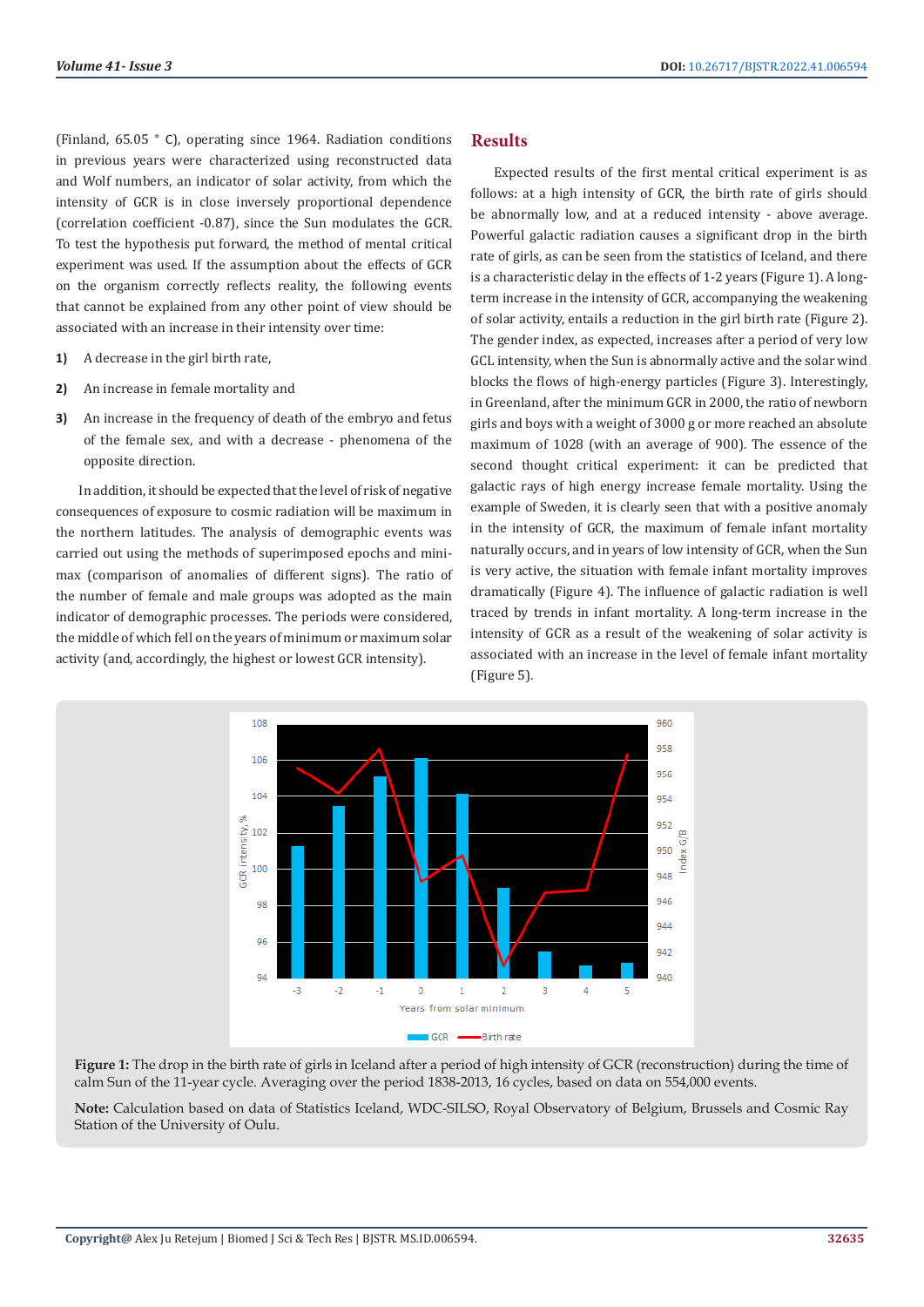(Finland, 65.05 ° C), operating since 1964. Radiation conditions in previous years were characterized using reconstructed data and Wolf numbers, an indicator of solar activity, from which the intensity of GCR is in close inversely proportional dependence (correlation coefficient -0.87), since the Sun modulates the GCR. To test the hypothesis put forward, the method of mental critical experiment was used. If the assumption about the effects of GCR on the organism correctly reflects reality, the following events that cannot be explained from any other point of view should be associated with an increase in their intensity over time:

- **1)** A decrease in the girl birth rate,
- **2)** An increase in female mortality and
- **3)** An increase in the frequency of death of the embryo and fetus of the female sex, and with a decrease - phenomena of the opposite direction.

In addition, it should be expected that the level of risk of negative consequences of exposure to cosmic radiation will be maximum in the northern latitudes. The analysis of demographic events was carried out using the methods of superimposed epochs and minimax (comparison of anomalies of different signs). The ratio of the number of female and male groups was adopted as the main indicator of demographic processes. The periods were considered, the middle of which fell on the years of minimum or maximum solar activity (and, accordingly, the highest or lowest GCR intensity).

#### **Results**

Expected results of the first mental critical experiment is as follows: at a high intensity of GCR, the birth rate of girls should be abnormally low, and at a reduced intensity - above average. Powerful galactic radiation causes a significant drop in the birth rate of girls, as can be seen from the statistics of Iceland, and there is a characteristic delay in the effects of 1-2 years (Figure 1). A longterm increase in the intensity of GCR, accompanying the weakening of solar activity, entails a reduction in the girl birth rate (Figure 2). The gender index, as expected, increases after a period of very low GCL intensity, when the Sun is abnormally active and the solar wind blocks the flows of high-energy particles (Figure 3). Interestingly, in Greenland, after the minimum GCR in 2000, the ratio of newborn girls and boys with a weight of 3000 g or more reached an absolute maximum of 1028 (with an average of 900). The essence of the second thought critical experiment: it can be predicted that galactic rays of high energy increase female mortality. Using the example of Sweden, it is clearly seen that with a positive anomaly in the intensity of GCR, the maximum of female infant mortality naturally occurs, and in years of low intensity of GCR, when the Sun is very active, the situation with female infant mortality improves dramatically (Figure 4). The influence of galactic radiation is well traced by trends in infant mortality. A long-term increase in the intensity of GCR as a result of the weakening of solar activity is associated with an increase in the level of female infant mortality (Figure 5).



**Figure 1:** The drop in the birth rate of girls in Iceland after a period of high intensity of GCR (reconstruction) during the time of calm Sun of the 11-year cycle. Averaging over the period 1838-2013, 16 cycles, based on data on 554,000 events.

**Note:** Calculation based on data of Statistics Iceland, WDC-SILSO, Royal Observatory of Belgium, Brussels and Cosmic Ray Station of the University of Oulu.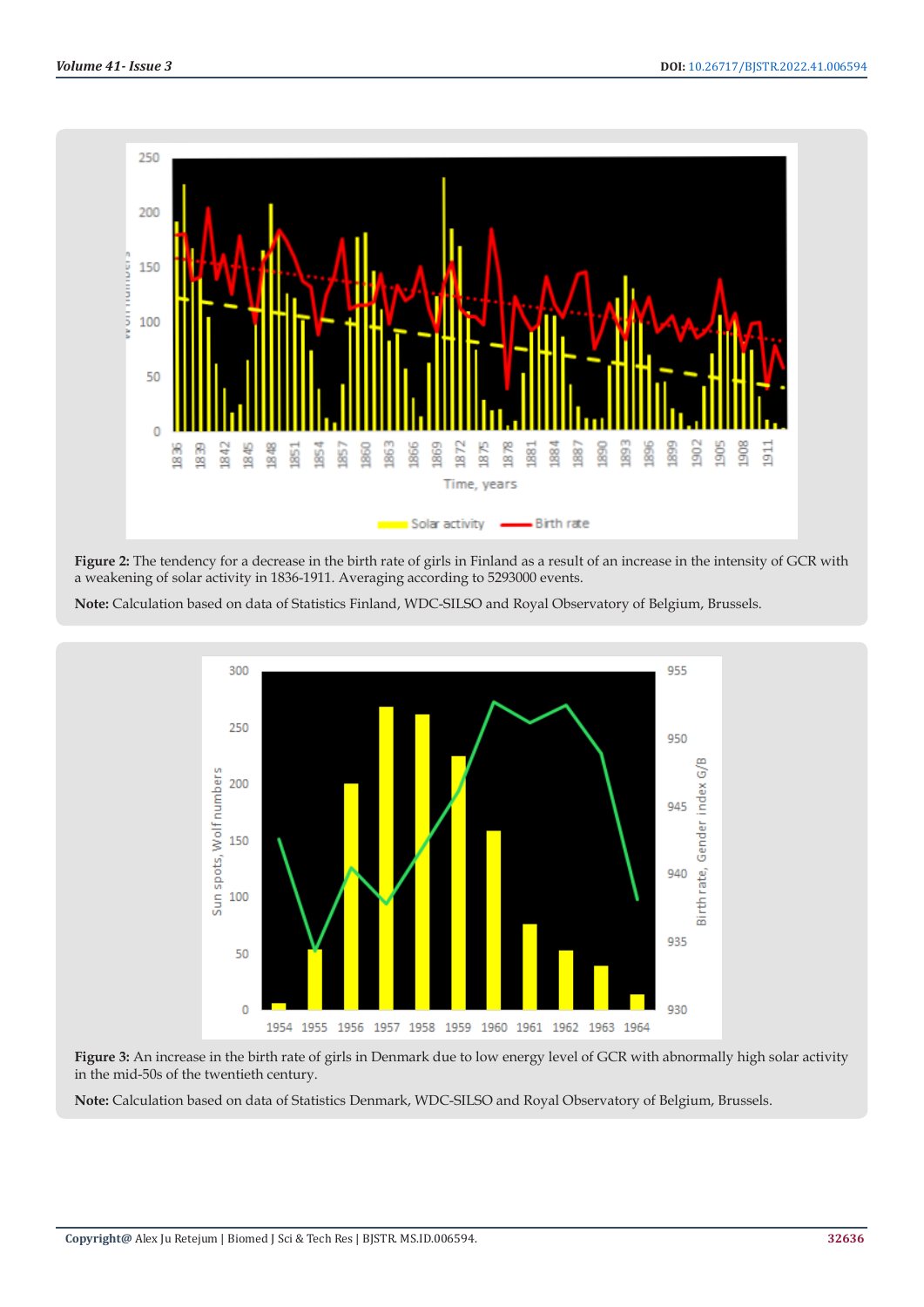



**Note:** Calculation based on data of Statistics Finland, WDC-SILSO and Royal Observatory of Belgium, Brussels.



**Figure 3:** An increase in the birth rate of girls in Denmark due to low energy level of GCR with abnormally high solar activity in the mid-50s of the twentieth century.

**Note:** Calculation based on data of Statistics Denmark, WDC-SILSO and Royal Observatory of Belgium, Brussels.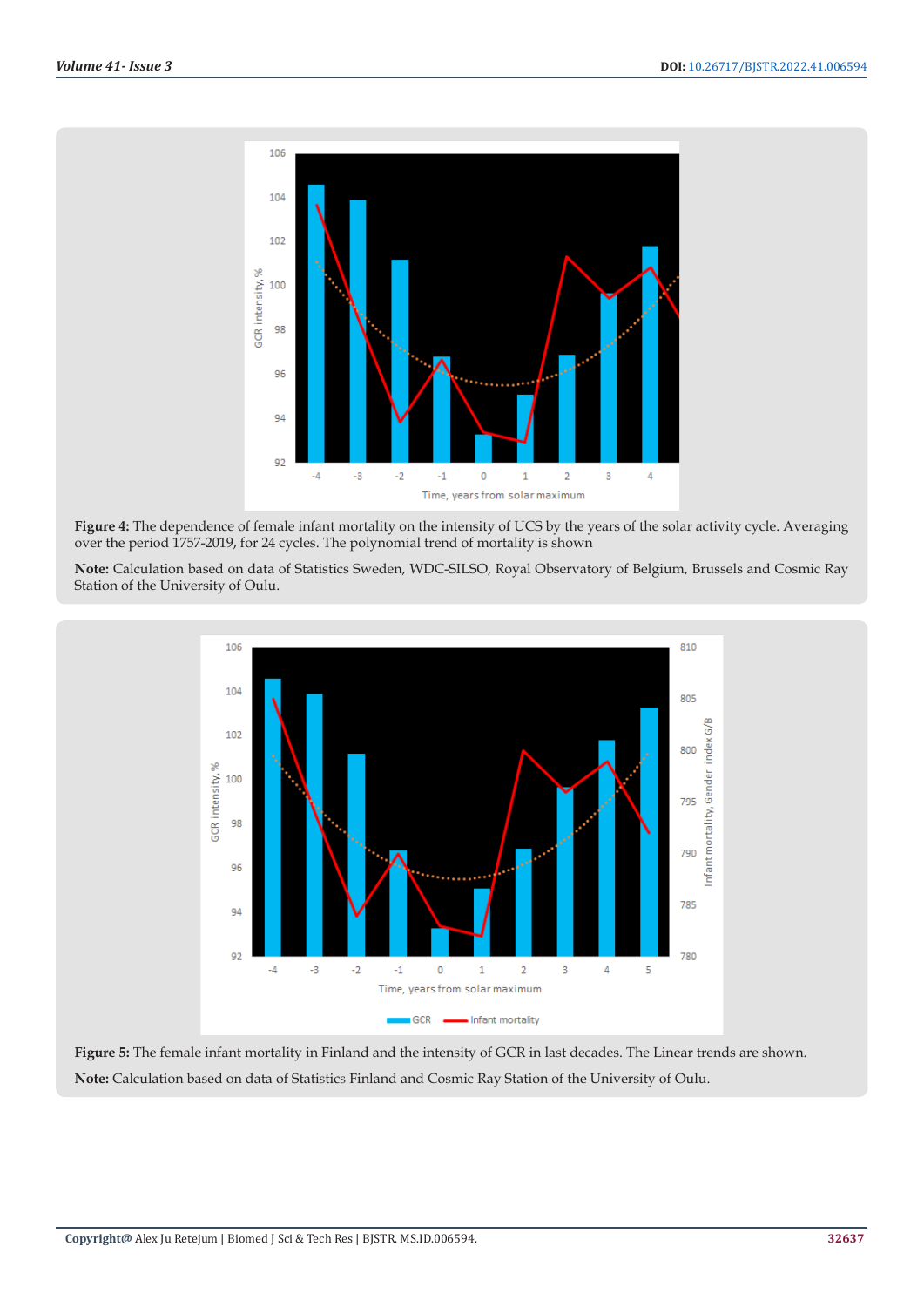

**Figure 4:** The dependence of female infant mortality on the intensity of UCS by the years of the solar activity cycle. Averaging over the period 1757-2019, for 24 cycles. The polynomial trend of mortality is shown

**Note:** Calculation based on data of Statistics Sweden, WDC-SILSO, Royal Observatory of Belgium, Brussels and Cosmic Ray Station of the University of Oulu.



**Figure 5:** The female infant mortality in Finland and the intensity of GCR in last decades. The Linear trends are shown. **Note:** Calculation based on data of Statistics Finland and Cosmic Ray Station of the University of Oulu.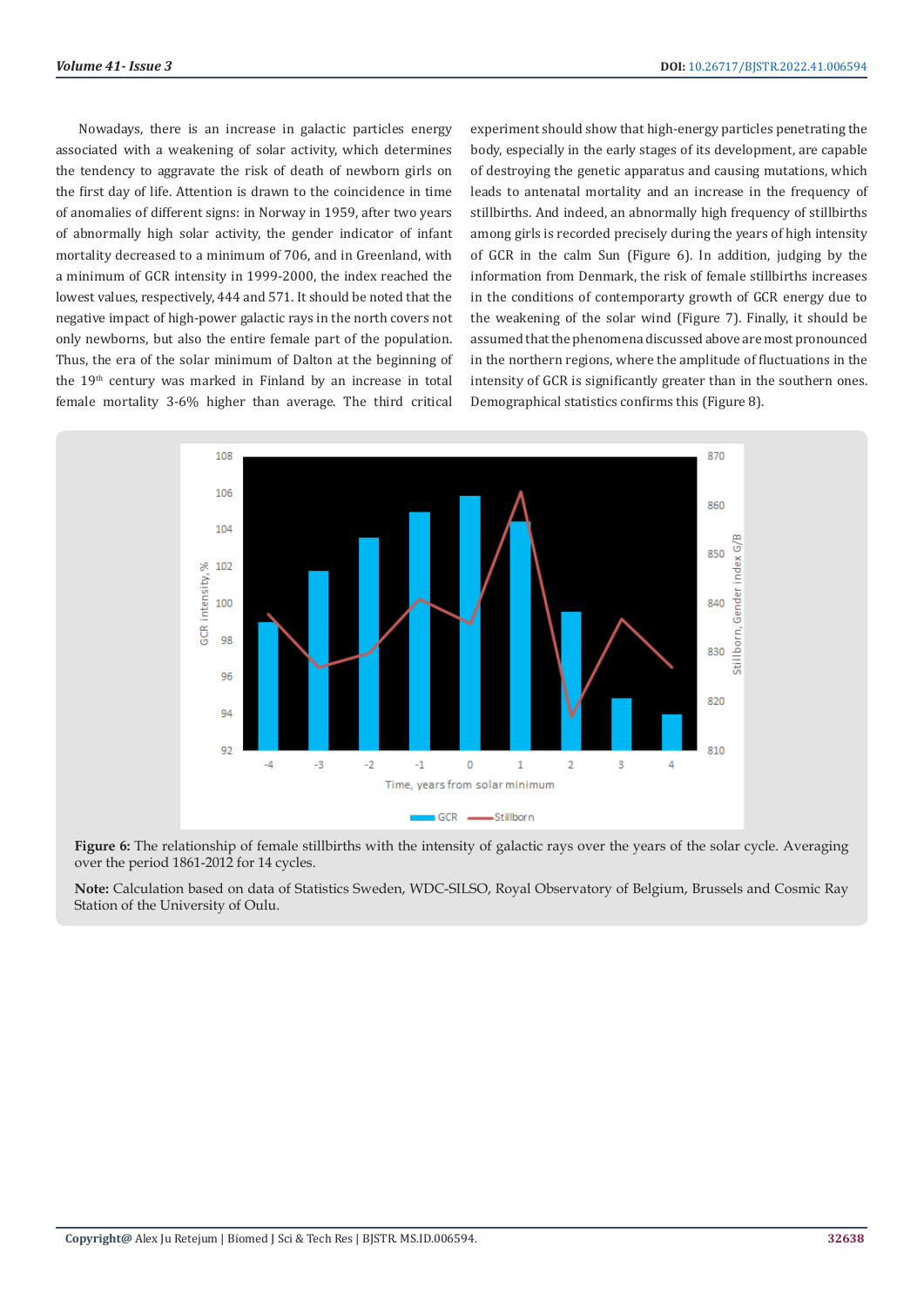Nowadays, there is an increase in galactic particles energy associated with a weakening of solar activity, which determines the tendency to aggravate the risk of death of newborn girls on the first day of life. Attention is drawn to the coincidence in time of anomalies of different signs: in Norway in 1959, after two years of abnormally high solar activity, the gender indicator of infant mortality decreased to a minimum of 706, and in Greenland, with a minimum of GCR intensity in 1999-2000, the index reached the lowest values, respectively, 444 and 571. It should be noted that the negative impact of high-power galactic rays in the north covers not only newborns, but also the entire female part of the population. Thus, the era of the solar minimum of Dalton at the beginning of the 19<sup>th</sup> century was marked in Finland by an increase in total female mortality 3-6% higher than average. The third critical

experiment should show that high-energy particles penetrating the body, especially in the early stages of its development, are capable of destroying the genetic apparatus and causing mutations, which leads to antenatal mortality and an increase in the frequency of stillbirths. And indeed, an abnormally high frequency of stillbirths among girls is recorded precisely during the years of high intensity of GCR in the calm Sun (Figure 6). In addition, judging by the information from Denmark, the risk of female stillbirths increases in the conditions of contemporarty growth of GCR energy due to the weakening of the solar wind (Figure 7). Finally, it should be assumed that the phenomena discussed above are most pronounced in the northern regions, where the amplitude of fluctuations in the intensity of GCR is significantly greater than in the southern ones. Demographical statistics confirms this (Figure 8).



Figure 6: The relationship of female stillbirths with the intensity of galactic rays over the years of the solar cycle. Averaging over the period 1861-2012 for 14 cycles.

**Note:** Calculation based on data of Statistics Sweden, WDC-SILSO, Royal Observatory of Belgium, Brussels and Cosmic Ray Station of the University of Oulu.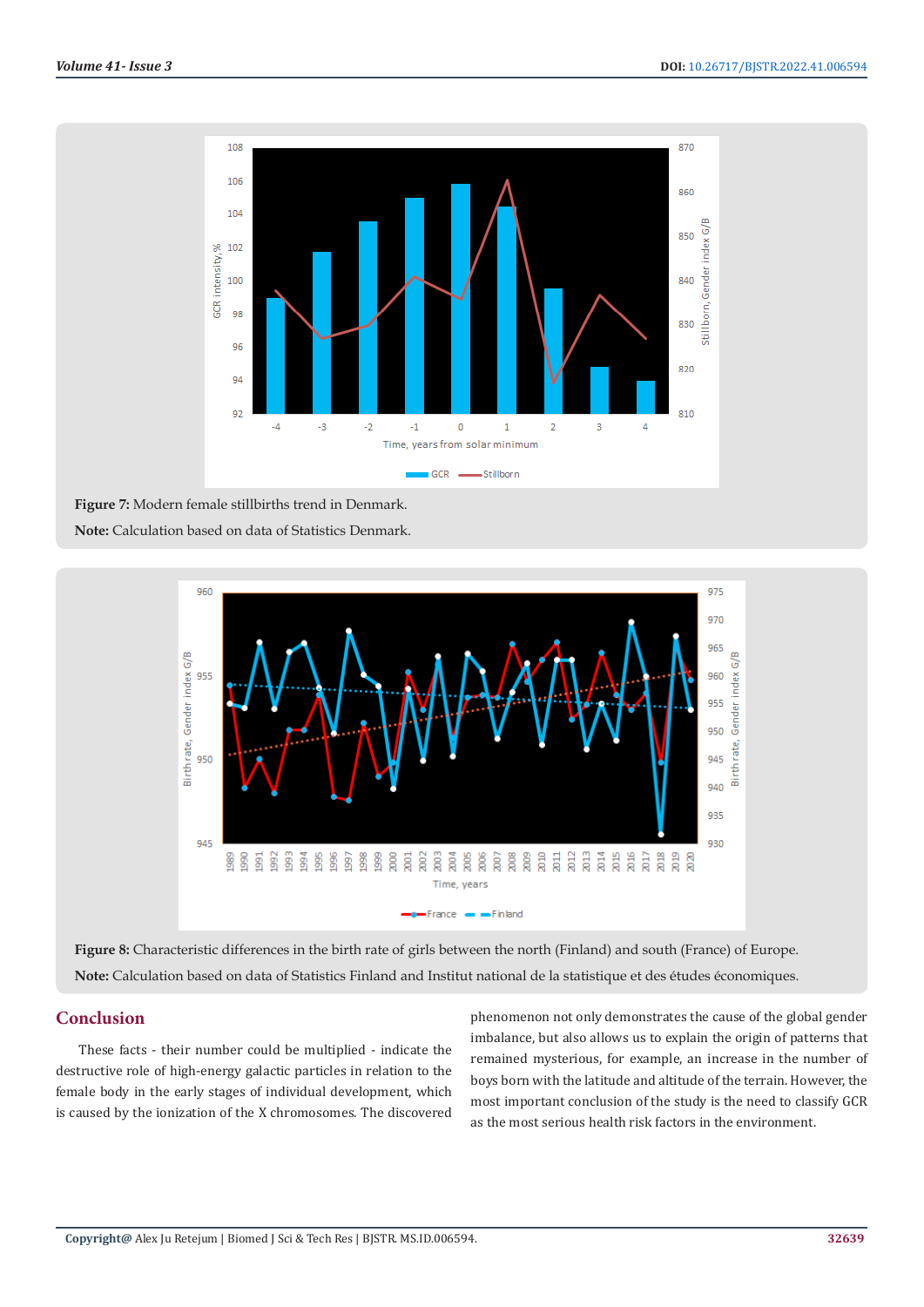

**Figure 7:** Modern female stillbirths trend in Denmark. **Note:** Calculation based on data of Statistics Denmark.



**Figure 8:** Сharacteristic differences in the birth rate of girls between the north (Finland) and south (France) of Europe. **Note:** Calculation based on data of Statistics Finland and Institut national de la statistique et des études économiques.

# **Conclusion**

These facts - their number could be multiplied - indicate the destructive role of high-energy galactic particles in relation to the female body in the early stages of individual development, which is caused by the ionization of the X chromosomes. The discovered phenomenon not only demonstrates the cause of the global gender imbalance, but also allows us to explain the origin of patterns that remained mysterious, for example, an increase in the number of boys born with the latitude and altitude of the terrain. However, the most important conclusion of the study is the need to classify GCR as the most serious health risk factors in the environment.